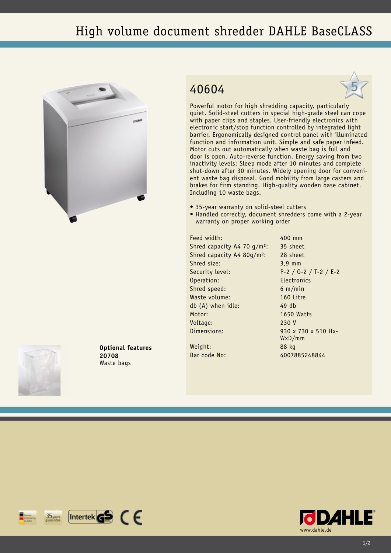## High volume document shredder DAHLE BaseCLASS



**Optional features**

**20708** Waste bags

## 40604



Powerful motor for high shredding capacity, particularly quiet. Solid-steel cutters in special high-grade steel can cope with paper clips and staples. User-friendly electronics with electronic start/stop function controlled by integrated light barrier. Ergonomically designed control panel with illuminated function and information unit. Simple and safe paper infeed. Motor cuts out automatically when waste bag is full and door is open. Auto-reverse function. Energy saving from two inactivity levels: Sleep mode after 10 minutes and complete shut-down after 30 minutes. Widely opening door for convenient waste bag disposal. Good mobility from large casters and brakes for firm standing. High-quality wooden base cabinet. Including 10 waste bags.

- 35-year warranty on solid-steel cutters
- Handled correctly, document shredders come with a 2-year warranty on proper working order

Feed width: 400 mm Shred capacity A4 70 g/m<sup>2</sup>: 35 sheet Shred capacity A4 80g/m²: 28 sheet Shred size: 3,9 mm Security level: P-2 / O-2 / T-2 / E-2 Operation: Electronics Shred speed: 6 m/min Waste volume: 160 Litre db (A) when idle: 49 db Motor: 1650 Watts Voltage: 230 V Dimensions: 930 x 730 x 510 Hx-

WxD/mm

Weight: 88 kg Bar code No: 4007885248844